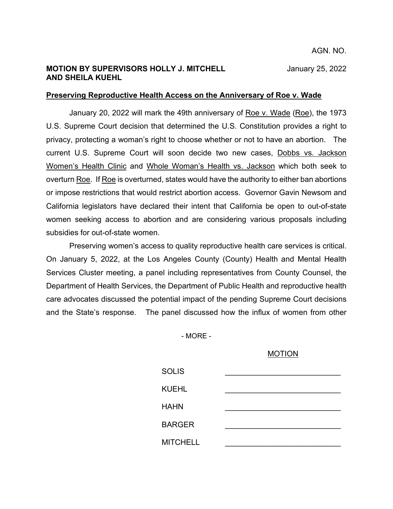### **MOTION BY SUPERVISORS HOLLY J. MITCHELL** January 25, 2022 **AND SHEILA KUEHL**

### **Preserving Reproductive Health Access on the Anniversary of Roe v. Wade**

January 20, 2022 will mark the 49th anniversary of Roe v. Wade (Roe), the 1973 U.S. Supreme Court decision that determined the U.S. Constitution provides a right to privacy, protecting a woman's right to choose whether or not to have an abortion. The current U.S. Supreme Court will soon decide two new cases, Dobbs vs. Jackson Women's Health Clinic and Whole Woman's Health vs. Jackson which both seek to overturn Roe. If Roe is overturned, states would have the authority to either ban abortions or impose restrictions that would restrict abortion access. Governor Gavin Newsom and California legislators have declared their intent that California be open to out-of-state women seeking access to abortion and are considering various proposals including subsidies for out-of-state women.

Preserving women's access to quality reproductive health care services is critical. On January 5, 2022, at the Los Angeles County (County) Health and Mental Health Services Cluster meeting, a panel including representatives from County Counsel, the Department of Health Services, the Department of Public Health and reproductive health care advocates discussed the potential impact of the pending Supreme Court decisions and the State's response. The panel discussed how the influx of women from other

- MORE -

### MOTION

| <b>SOLIS</b>    |  |
|-----------------|--|
| <b>KUEHL</b>    |  |
| <b>HAHN</b>     |  |
| <b>BARGER</b>   |  |
| <b>MITCHELL</b> |  |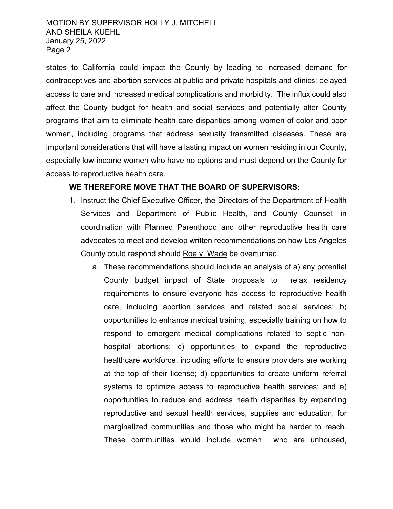## MOTION BY SUPERVISOR HOLLY J. MITCHELL AND SHEILA KUEHL January 25, 2022 Page 2

states to California could impact the County by leading to increased demand for contraceptives and abortion services at public and private hospitals and clinics; delayed access to care and increased medical complications and morbidity. The influx could also affect the County budget for health and social services and potentially alter County programs that aim to eliminate health care disparities among women of color and poor women, including programs that address sexually transmitted diseases. These are important considerations that will have a lasting impact on women residing in our County, especially low-income women who have no options and must depend on the County for access to reproductive health care.

# **WE THEREFORE MOVE THAT THE BOARD OF SUPERVISORS:**

- 1. Instruct the Chief Executive Officer, the Directors of the Department of Health Services and Department of Public Health, and County Counsel, in coordination with Planned Parenthood and other reproductive health care advocates to meet and develop written recommendations on how Los Angeles County could respond should Roe v. Wade be overturned.
	- a. These recommendations should include an analysis of a) any potential County budget impact of State proposals to relax residency requirements to ensure everyone has access to reproductive health care, including abortion services and related social services; b) opportunities to enhance medical training, especially training on how to respond to emergent medical complications related to septic nonhospital abortions; c) opportunities to expand the reproductive healthcare workforce, including efforts to ensure providers are working at the top of their license; d) opportunities to create uniform referral systems to optimize access to reproductive health services; and e) opportunities to reduce and address health disparities by expanding reproductive and sexual health services, supplies and education, for marginalized communities and those who might be harder to reach. These communities would include women who are unhoused,